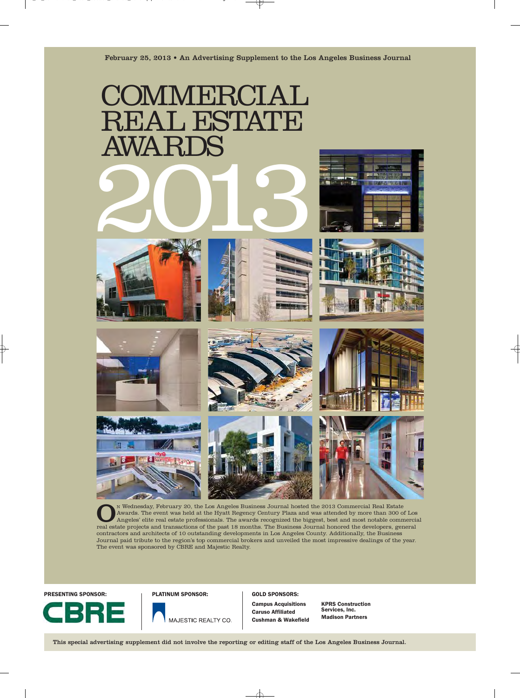

N Wednesday, February 20, the Los Angeles Business Journal hosted the 2013 Commercial Real Estate<br>Awards. The event was held at the Hyatt Regency Century Plaza and was attended by more than 300 of Los<br>Angeles' elite real e Awards. The event was held at the Hyatt Regency Century Plaza and was attended by more than 300 of Los real estate projects and transactions of the past 18 months. The Business Journal honored the developers, general contractors and architects of 10 outstanding developments in Los Angeles County. Additionally, the Business Journal paid tribute to the region's top commercial brokers and unveiled the most impressive dealings of the year. The event was sponsored by CBRE and Majestic Realty.

PRESENTING SPONSOR: The PLATINUM SPONSOR: GOLD SPONSORS:



Campus Acquisitions Caruso Affiliated Cushman & Wakefield

KPRS Construction Services, Inc. Madison Partners

This special advertising supplement did not involve the reporting or editing staff of the Los Angeles Business Journal.

MAJESTIC REALTY CO.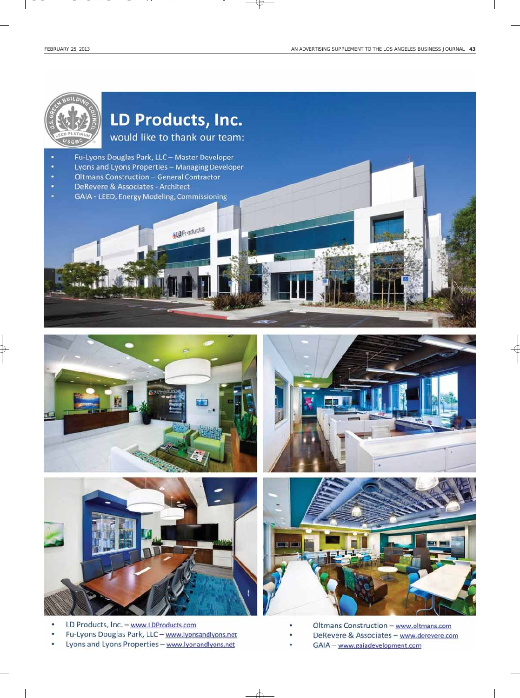





- LD Products, Inc. www.LDProducts.com
- Fu-Lyons Douglas Park, LLC www.lyonsandlyons.net
- Lyons and Lyons Properties www.lyonandlyons.net





- Oltmans Construction www.oltmans.com
- DeRevere & Associates www.derevere.com
- GAIA www.gaiadevelopment.com